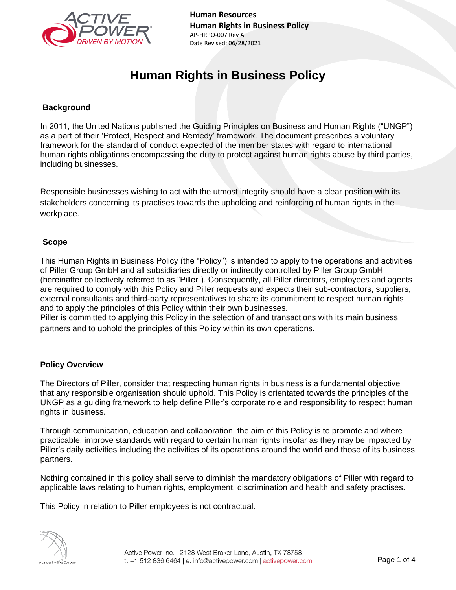

# **Human Rights in Business Policy**

### **Background**

In 2011, the United Nations published the Guiding Principles on Business and Human Rights ("UNGP") as a part of their 'Protect, Respect and Remedy' framework. The document prescribes a voluntary framework for the standard of conduct expected of the member states with regard to international human rights obligations encompassing the duty to protect against human rights abuse by third parties, including businesses.

Responsible businesses wishing to act with the utmost integrity should have a clear position with its stakeholders concerning its practises towards the upholding and reinforcing of human rights in the workplace.

#### **Scope**

This Human Rights in Business Policy (the "Policy") is intended to apply to the operations and activities of Piller Group GmbH and all subsidiaries directly or indirectly controlled by Piller Group GmbH (hereinafter collectively referred to as "Piller"). Consequently, all Piller directors, employees and agents are required to comply with this Policy and Piller requests and expects their sub-contractors, suppliers, external consultants and third-party representatives to share its commitment to respect human rights and to apply the principles of this Policy within their own businesses.

Piller is committed to applying this Policy in the selection of and transactions with its main business partners and to uphold the principles of this Policy within its own operations.

# **Policy Overview**

The Directors of Piller, consider that respecting human rights in business is a fundamental objective that any responsible organisation should uphold. This Policy is orientated towards the principles of the UNGP as a guiding framework to help define Piller's corporate role and responsibility to respect human rights in business.

Through communication, education and collaboration, the aim of this Policy is to promote and where practicable, improve standards with regard to certain human rights insofar as they may be impacted by Piller's daily activities including the activities of its operations around the world and those of its business partners.

Nothing contained in this policy shall serve to diminish the mandatory obligations of Piller with regard to applicable laws relating to human rights, employment, discrimination and health and safety practises.

This Policy in relation to Piller employees is not contractual.

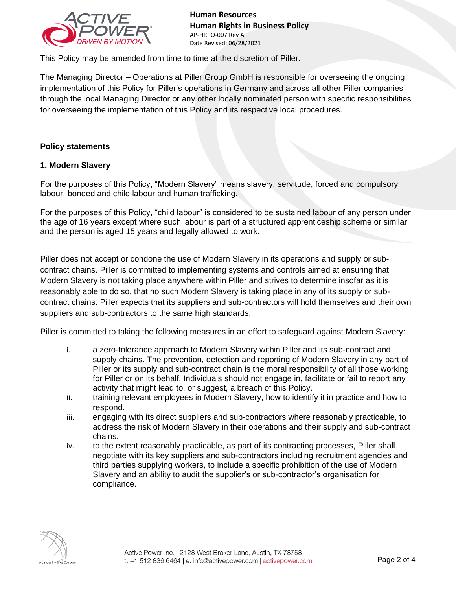

This Policy may be amended from time to time at the discretion of Piller.

The Managing Director – Operations at Piller Group GmbH is responsible for overseeing the ongoing implementation of this Policy for Piller's operations in Germany and across all other Piller companies through the local Managing Director or any other locally nominated person with specific responsibilities for overseeing the implementation of this Policy and its respective local procedures.

#### **Policy statements**

#### **1. Modern Slavery**

For the purposes of this Policy, "Modern Slavery" means slavery, servitude, forced and compulsory labour, bonded and child labour and human trafficking.

For the purposes of this Policy, "child labour" is considered to be sustained labour of any person under the age of 16 years except where such labour is part of a structured apprenticeship scheme or similar and the person is aged 15 years and legally allowed to work.

Piller does not accept or condone the use of Modern Slavery in its operations and supply or subcontract chains. Piller is committed to implementing systems and controls aimed at ensuring that Modern Slavery is not taking place anywhere within Piller and strives to determine insofar as it is reasonably able to do so, that no such Modern Slavery is taking place in any of its supply or subcontract chains. Piller expects that its suppliers and sub-contractors will hold themselves and their own suppliers and sub-contractors to the same high standards.

Piller is committed to taking the following measures in an effort to safeguard against Modern Slavery:

- i. a zero-tolerance approach to Modern Slavery within Piller and its sub-contract and supply chains. The prevention, detection and reporting of Modern Slavery in any part of Piller or its supply and sub-contract chain is the moral responsibility of all those working for Piller or on its behalf. Individuals should not engage in, facilitate or fail to report any activity that might lead to, or suggest, a breach of this Policy.
- ii. training relevant employees in Modern Slavery, how to identify it in practice and how to respond.
- iii. engaging with its direct suppliers and sub-contractors where reasonably practicable, to address the risk of Modern Slavery in their operations and their supply and sub-contract chains.
- iv. to the extent reasonably practicable, as part of its contracting processes, Piller shall negotiate with its key suppliers and sub-contractors including recruitment agencies and third parties supplying workers, to include a specific prohibition of the use of Modern Slavery and an ability to audit the supplier's or sub-contractor's organisation for compliance.

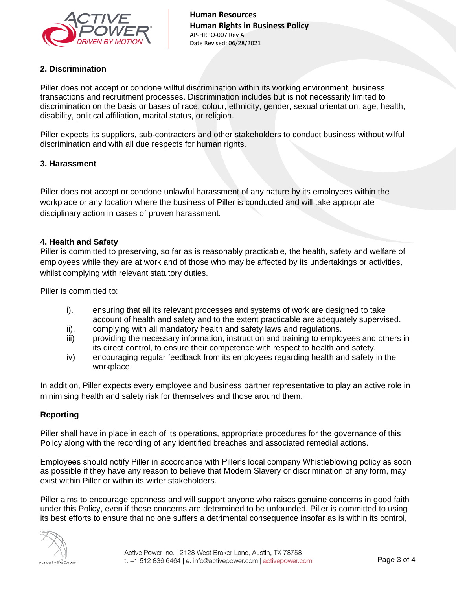

# **2. Discrimination**

Piller does not accept or condone willful discrimination within its working environment, business transactions and recruitment processes. Discrimination includes but is not necessarily limited to discrimination on the basis or bases of race, colour, ethnicity, gender, sexual orientation, age, health, disability, political affiliation, marital status, or religion.

Piller expects its suppliers, sub-contractors and other stakeholders to conduct business without wilful discrimination and with all due respects for human rights.

# **3. Harassment**

Piller does not accept or condone unlawful harassment of any nature by its employees within the workplace or any location where the business of Piller is conducted and will take appropriate disciplinary action in cases of proven harassment.

#### **4. Health and Safety**

Piller is committed to preserving, so far as is reasonably practicable, the health, safety and welfare of employees while they are at work and of those who may be affected by its undertakings or activities, whilst complying with relevant statutory duties.

Piller is committed to:

- i). ensuring that all its relevant processes and systems of work are designed to take account of health and safety and to the extent practicable are adequately supervised.
- ii). complying with all mandatory health and safety laws and regulations.
- iii) providing the necessary information, instruction and training to employees and others in its direct control, to ensure their competence with respect to health and safety.
- iv) encouraging regular feedback from its employees regarding health and safety in the workplace.

In addition, Piller expects every employee and business partner representative to play an active role in minimising health and safety risk for themselves and those around them.

# **Reporting**

Piller shall have in place in each of its operations, appropriate procedures for the governance of this Policy along with the recording of any identified breaches and associated remedial actions.

Employees should notify Piller in accordance with Piller's local company Whistleblowing policy as soon as possible if they have any reason to believe that Modern Slavery or discrimination of any form, may exist within Piller or within its wider stakeholders.

Piller aims to encourage openness and will support anyone who raises genuine concerns in good faith under this Policy, even if those concerns are determined to be unfounded. Piller is committed to using its best efforts to ensure that no one suffers a detrimental consequence insofar as is within its control,